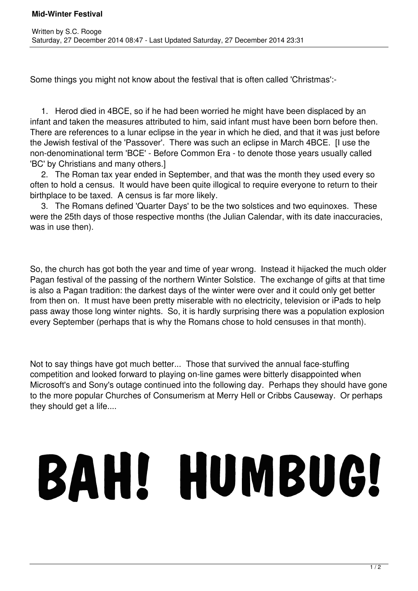Some things you might not know about the festival that is often called 'Christmas':-

 1. Herod died in 4BCE, so if he had been worried he might have been displaced by an infant and taken the measures attributed to him, said infant must have been born before then. There are references to a lunar eclipse in the year in which he died, and that it was just before the Jewish festival of the 'Passover'. There was such an eclipse in March 4BCE. [I use the non-denominational term 'BCE' - Before Common Era - to denote those years usually called 'BC' by Christians and many others.]

 2. The Roman tax year ended in September, and that was the month they used every so often to hold a census. It would have been quite illogical to require everyone to return to their birthplace to be taxed. A census is far more likely.

 3. The Romans defined 'Quarter Days' to be the two solstices and two equinoxes. These were the 25th days of those respective months (the Julian Calendar, with its date inaccuracies, was in use then).

So, the church has got both the year and time of year wrong. Instead it hijacked the much older Pagan festival of the passing of the northern Winter Solstice. The exchange of gifts at that time is also a Pagan tradition: the darkest days of the winter were over and it could only get better from then on. It must have been pretty miserable with no electricity, television or iPads to help pass away those long winter nights. So, it is hardly surprising there was a population explosion every September (perhaps that is why the Romans chose to hold censuses in that month).

Not to say things have got much better... Those that survived the annual face-stuffing competition and looked forward to playing on-line games were bitterly disappointed when Microsoft's and Sony's outage continued into the following day. Perhaps they should have gone to the more popular Churches of Consumerism at Merry Hell or Cribbs Causeway. Or perhaps they should get a life....

## BAH! HUMBUG!